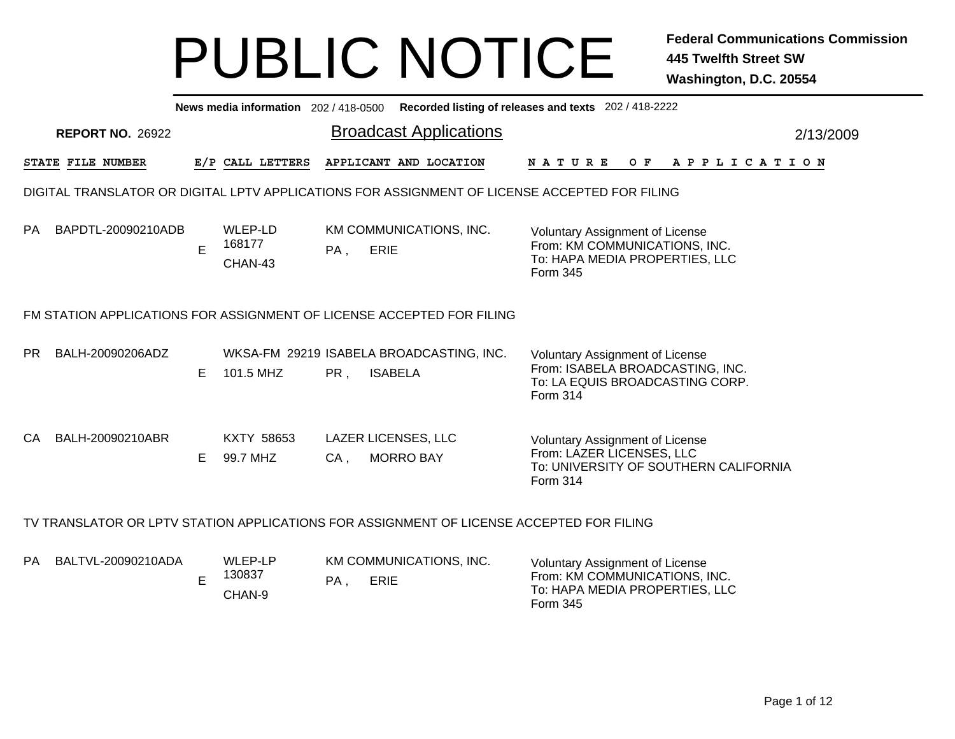|           | Recorded listing of releases and texts 202 / 418-2222<br>News media information 202/418-0500 |    |                               |        |                                                                                               |                                                                                                                           |           |  |  |  |  |  |  |
|-----------|----------------------------------------------------------------------------------------------|----|-------------------------------|--------|-----------------------------------------------------------------------------------------------|---------------------------------------------------------------------------------------------------------------------------|-----------|--|--|--|--|--|--|
|           | <b>REPORT NO. 26922</b>                                                                      |    |                               |        | <b>Broadcast Applications</b>                                                                 |                                                                                                                           | 2/13/2009 |  |  |  |  |  |  |
|           | STATE FILE NUMBER                                                                            |    | E/P CALL LETTERS              |        | APPLICANT AND LOCATION                                                                        | <b>NATURE</b><br>OF APPLICATION                                                                                           |           |  |  |  |  |  |  |
|           |                                                                                              |    |                               |        | DIGITAL TRANSLATOR OR DIGITAL LPTV APPLICATIONS FOR ASSIGNMENT OF LICENSE ACCEPTED FOR FILING |                                                                                                                           |           |  |  |  |  |  |  |
| <b>PA</b> | BAPDTL-20090210ADB                                                                           | E  | WLEP-LD<br>168177<br>CHAN-43  | PA,    | KM COMMUNICATIONS, INC.<br><b>ERIE</b>                                                        | <b>Voluntary Assignment of License</b><br>From: KM COMMUNICATIONS, INC.<br>To: HAPA MEDIA PROPERTIES, LLC<br>Form 345     |           |  |  |  |  |  |  |
|           |                                                                                              |    |                               |        | FM STATION APPLICATIONS FOR ASSIGNMENT OF LICENSE ACCEPTED FOR FILING                         |                                                                                                                           |           |  |  |  |  |  |  |
| PR.       | BALH-20090206ADZ                                                                             | Е  | 101.5 MHZ                     | PR,    | WKSA-FM 29219 ISABELA BROADCASTING, INC.<br><b>ISABELA</b>                                    | <b>Voluntary Assignment of License</b><br>From: ISABELA BROADCASTING, INC.<br>To: LA EQUIS BROADCASTING CORP.<br>Form 314 |           |  |  |  |  |  |  |
| CA.       | BALH-20090210ABR                                                                             | E. | <b>KXTY 58653</b><br>99.7 MHZ | $CA$ , | <b>LAZER LICENSES, LLC</b><br><b>MORRO BAY</b>                                                | <b>Voluntary Assignment of License</b><br>From: LAZER LICENSES, LLC<br>To: UNIVERSITY OF SOUTHERN CALIFORNIA<br>Form 314  |           |  |  |  |  |  |  |
|           |                                                                                              |    |                               |        | TV TRANSLATOR OR LPTV STATION APPLICATIONS FOR ASSIGNMENT OF LICENSE ACCEPTED FOR FILING      |                                                                                                                           |           |  |  |  |  |  |  |
| <b>PA</b> | BALTVL-20090210ADA                                                                           | E  | WLEP-LP<br>130837<br>CHAN-9   | $PA$ , | KM COMMUNICATIONS, INC.<br><b>ERIE</b>                                                        | <b>Voluntary Assignment of License</b><br>From: KM COMMUNICATIONS, INC.<br>To: HAPA MEDIA PROPERTIES, LLC<br>Form 345     |           |  |  |  |  |  |  |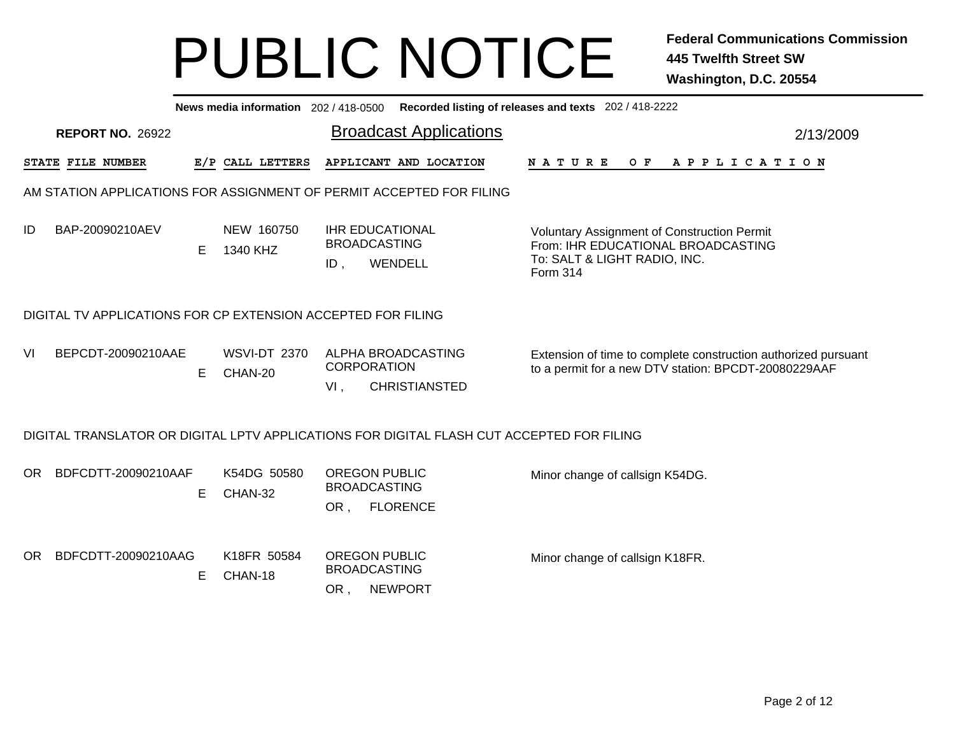|     | News media information 202 / 418-0500 Recorded listing of releases and texts 202 / 418-2222 |    |                                |                                                                                           |                                                                                                                                      |           |  |  |  |  |  |  |  |
|-----|---------------------------------------------------------------------------------------------|----|--------------------------------|-------------------------------------------------------------------------------------------|--------------------------------------------------------------------------------------------------------------------------------------|-----------|--|--|--|--|--|--|--|
|     | <b>REPORT NO. 26922</b>                                                                     |    |                                | <b>Broadcast Applications</b>                                                             |                                                                                                                                      | 2/13/2009 |  |  |  |  |  |  |  |
|     | STATE FILE NUMBER                                                                           |    | E/P CALL LETTERS               | APPLICANT AND LOCATION                                                                    | O F<br>A P P L I C A T I O N<br><b>NATURE</b>                                                                                        |           |  |  |  |  |  |  |  |
|     |                                                                                             |    |                                | AM STATION APPLICATIONS FOR ASSIGNMENT OF PERMIT ACCEPTED FOR FILING                      |                                                                                                                                      |           |  |  |  |  |  |  |  |
| ID  | BAP-20090210AEV                                                                             | E. | NEW 160750<br>1340 KHZ         | <b>IHR EDUCATIONAL</b><br><b>BROADCASTING</b><br>WENDELL<br>ID,                           | <b>Voluntary Assignment of Construction Permit</b><br>From: IHR EDUCATIONAL BROADCASTING<br>To: SALT & LIGHT RADIO, INC.<br>Form 314 |           |  |  |  |  |  |  |  |
|     | DIGITAL TV APPLICATIONS FOR CP EXTENSION ACCEPTED FOR FILING                                |    |                                |                                                                                           |                                                                                                                                      |           |  |  |  |  |  |  |  |
| VI  | BEPCDT-20090210AAE                                                                          | E. | <b>WSVI-DT 2370</b><br>CHAN-20 | ALPHA BROADCASTING<br><b>CORPORATION</b><br><b>CHRISTIANSTED</b><br>$VI$ ,                | Extension of time to complete construction authorized pursuant<br>to a permit for a new DTV station: BPCDT-20080229AAF               |           |  |  |  |  |  |  |  |
|     |                                                                                             |    |                                | DIGITAL TRANSLATOR OR DIGITAL LPTV APPLICATIONS FOR DIGITAL FLASH CUT ACCEPTED FOR FILING |                                                                                                                                      |           |  |  |  |  |  |  |  |
| OR. | BDFCDTT-20090210AAF                                                                         | E. | K54DG 50580<br>CHAN-32         | <b>OREGON PUBLIC</b><br><b>BROADCASTING</b><br><b>FLORENCE</b><br>OR,                     | Minor change of callsign K54DG.                                                                                                      |           |  |  |  |  |  |  |  |
| OR. | BDFCDTT-20090210AAG                                                                         | E  | K18FR 50584<br>CHAN-18         | <b>OREGON PUBLIC</b><br><b>BROADCASTING</b><br><b>NEWPORT</b><br>OR,                      | Minor change of callsign K18FR.                                                                                                      |           |  |  |  |  |  |  |  |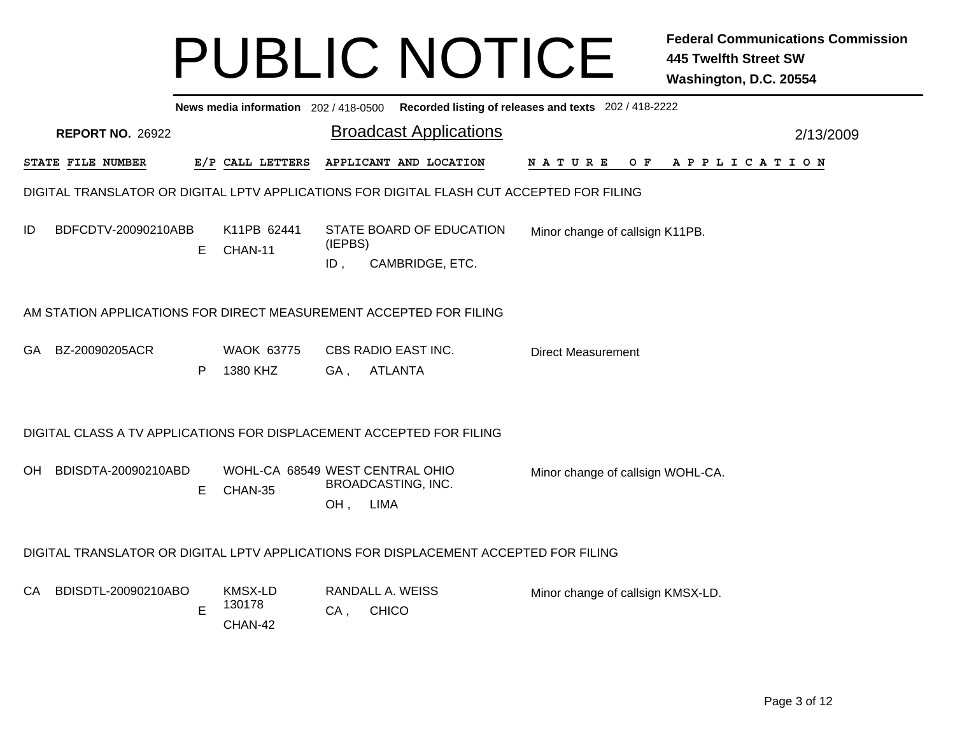|    | News media information 202/418-0500 Recorded listing of releases and texts 202/418-2222 |    |                                            |                   |                                                                                           |                                             |           |  |  |  |  |
|----|-----------------------------------------------------------------------------------------|----|--------------------------------------------|-------------------|-------------------------------------------------------------------------------------------|---------------------------------------------|-----------|--|--|--|--|
|    | <b>REPORT NO. 26922</b>                                                                 |    |                                            |                   | <b>Broadcast Applications</b>                                                             |                                             | 2/13/2009 |  |  |  |  |
|    | <b>STATE FILE NUMBER</b>                                                                |    | E/P CALL LETTERS                           |                   | APPLICANT AND LOCATION                                                                    | N A T U R E<br>O F<br>A P P L I C A T I O N |           |  |  |  |  |
|    |                                                                                         |    |                                            |                   | DIGITAL TRANSLATOR OR DIGITAL LPTV APPLICATIONS FOR DIGITAL FLASH CUT ACCEPTED FOR FILING |                                             |           |  |  |  |  |
| ID | BDFCDTV-20090210ABB                                                                     | E. | K11PB 62441<br>CHAN-11                     | (IEPBS)<br>$ID$ , | STATE BOARD OF EDUCATION<br>CAMBRIDGE, ETC.                                               | Minor change of callsign K11PB.             |           |  |  |  |  |
|    | AM STATION APPLICATIONS FOR DIRECT MEASUREMENT ACCEPTED FOR FILING                      |    |                                            |                   |                                                                                           |                                             |           |  |  |  |  |
|    | GA BZ-20090205ACR                                                                       | P  | <b>WAOK 63775</b><br>1380 KHZ              | GA,               | CBS RADIO EAST INC.<br><b>ATLANTA</b>                                                     | <b>Direct Measurement</b>                   |           |  |  |  |  |
|    | DIGITAL CLASS A TV APPLICATIONS FOR DISPLACEMENT ACCEPTED FOR FILING                    |    |                                            |                   |                                                                                           |                                             |           |  |  |  |  |
|    | OH BDISDTA-20090210ABD                                                                  | Е  | WOHL-CA 68549 WEST CENTRAL OHIO<br>CHAN-35 | $OH$ ,            | <b>BROADCASTING, INC.</b><br>LIMA                                                         | Minor change of callsign WOHL-CA.           |           |  |  |  |  |
|    |                                                                                         |    |                                            |                   | DIGITAL TRANSLATOR OR DIGITAL LPTV APPLICATIONS FOR DISPLACEMENT ACCEPTED FOR FILING      |                                             |           |  |  |  |  |
| CA | BDISDTL-20090210ABO                                                                     | Е  | KMSX-LD<br>130178<br>CHAN-42               | CA,               | RANDALL A. WEISS<br><b>CHICO</b>                                                          | Minor change of callsign KMSX-LD.           |           |  |  |  |  |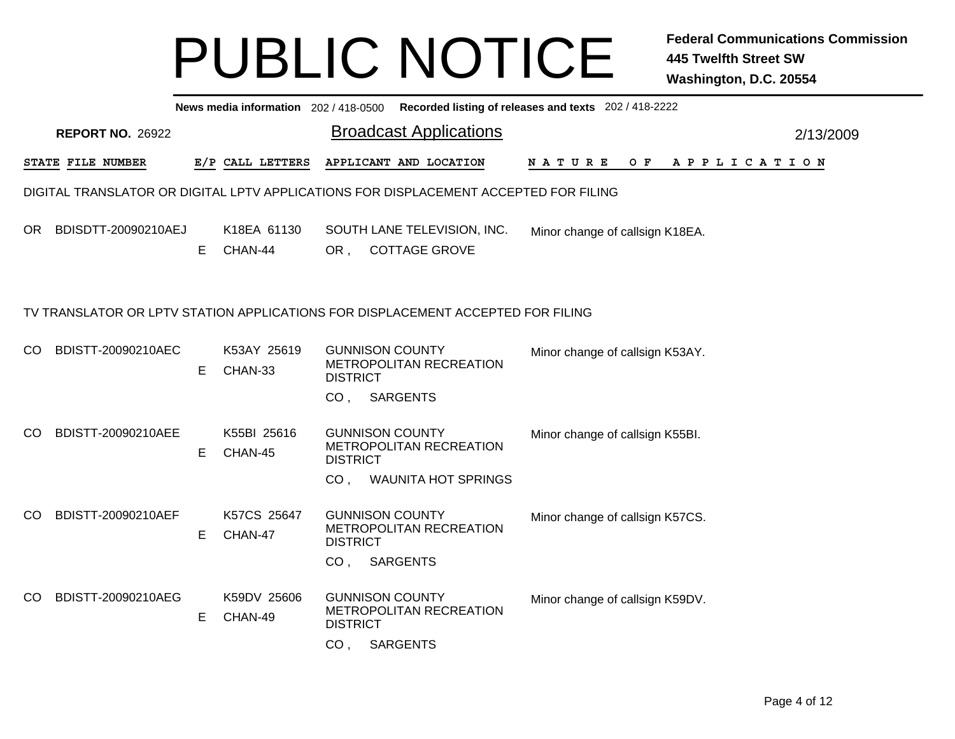|    | News media information 202/418-0500 Recorded listing of releases and texts 202/418-2222 |    |                        |                                    |                                                                                                 |                                   |           |  |  |  |  |
|----|-----------------------------------------------------------------------------------------|----|------------------------|------------------------------------|-------------------------------------------------------------------------------------------------|-----------------------------------|-----------|--|--|--|--|
|    | <b>REPORT NO. 26922</b>                                                                 |    |                        |                                    | <b>Broadcast Applications</b>                                                                   |                                   | 2/13/2009 |  |  |  |  |
|    | <b>STATE FILE NUMBER</b>                                                                |    | E/P CALL LETTERS       |                                    | APPLICANT AND LOCATION                                                                          | APPLICATION<br>N A T U R E<br>O F |           |  |  |  |  |
|    |                                                                                         |    |                        |                                    | DIGITAL TRANSLATOR OR DIGITAL LPTV APPLICATIONS FOR DISPLACEMENT ACCEPTED FOR FILING            |                                   |           |  |  |  |  |
| OR | BDISDTT-20090210AEJ                                                                     | E. | K18EA 61130<br>CHAN-44 | OR ,                               | SOUTH LANE TELEVISION, INC.<br><b>COTTAGE GROVE</b>                                             | Minor change of callsign K18EA.   |           |  |  |  |  |
|    |                                                                                         |    |                        |                                    | TV TRANSLATOR OR LPTV STATION APPLICATIONS FOR DISPLACEMENT ACCEPTED FOR FILING                 |                                   |           |  |  |  |  |
| CO | BDISTT-20090210AEC                                                                      | Е  | K53AY 25619<br>CHAN-33 | <b>DISTRICT</b>                    | <b>GUNNISON COUNTY</b><br>METROPOLITAN RECREATION                                               | Minor change of callsign K53AY.   |           |  |  |  |  |
| CO | BDISTT-20090210AEE                                                                      | Е  | K55BI 25616<br>CHAN-45 | CO <sub>1</sub><br><b>DISTRICT</b> | <b>SARGENTS</b><br><b>GUNNISON COUNTY</b><br>METROPOLITAN RECREATION                            | Minor change of callsign K55BI.   |           |  |  |  |  |
| CO | BDISTT-20090210AEF                                                                      | Е  | K57CS 25647<br>CHAN-47 | CO <sub>1</sub><br><b>DISTRICT</b> | <b>WAUNITA HOT SPRINGS</b><br><b>GUNNISON COUNTY</b><br>METROPOLITAN RECREATION<br>CO, SARGENTS | Minor change of callsign K57CS.   |           |  |  |  |  |
| CO | BDISTT-20090210AEG                                                                      | Е  | K59DV 25606<br>CHAN-49 | <b>DISTRICT</b><br>CO <sub>1</sub> | <b>GUNNISON COUNTY</b><br>METROPOLITAN RECREATION<br><b>SARGENTS</b>                            | Minor change of callsign K59DV.   |           |  |  |  |  |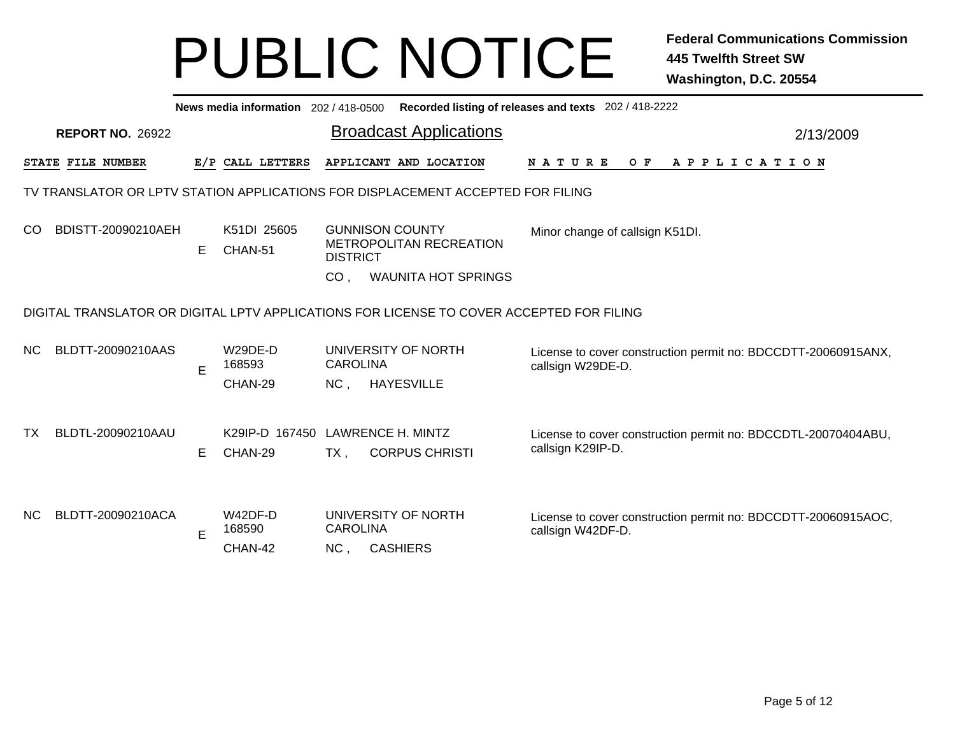|               | News media information 202 / 418-0500 Recorded listing of releases and texts 202 / 418-2222 |    |                                  |                                           |                   |                                |                   |                                                               |  |  |     |  |  |  |                       |  |           |  |  |
|---------------|---------------------------------------------------------------------------------------------|----|----------------------------------|-------------------------------------------|-------------------|--------------------------------|-------------------|---------------------------------------------------------------|--|--|-----|--|--|--|-----------------------|--|-----------|--|--|
|               | <b>REPORT NO. 26922</b>                                                                     |    |                                  |                                           |                   | <b>Broadcast Applications</b>  |                   |                                                               |  |  |     |  |  |  |                       |  | 2/13/2009 |  |  |
|               | STATE FILE NUMBER                                                                           |    | E/P CALL LETTERS                 |                                           |                   | APPLICANT AND LOCATION         | <b>NATURE</b>     |                                                               |  |  | O F |  |  |  | A P P L I C A T I O N |  |           |  |  |
|               | TV TRANSLATOR OR LPTV STATION APPLICATIONS FOR DISPLACEMENT ACCEPTED FOR FILING             |    |                                  |                                           |                   |                                |                   |                                                               |  |  |     |  |  |  |                       |  |           |  |  |
| <sub>CO</sub> | BDISTT-20090210AEH                                                                          | E. | K51DI 25605<br>CHAN-51           | <b>GUNNISON COUNTY</b><br><b>DISTRICT</b> |                   | <b>METROPOLITAN RECREATION</b> |                   | Minor change of callsign K51DI.                               |  |  |     |  |  |  |                       |  |           |  |  |
|               |                                                                                             |    |                                  | CO <sub>1</sub>                           |                   | <b>WAUNITA HOT SPRINGS</b>     |                   |                                                               |  |  |     |  |  |  |                       |  |           |  |  |
|               | DIGITAL TRANSLATOR OR DIGITAL LPTV APPLICATIONS FOR LICENSE TO COVER ACCEPTED FOR FILING    |    |                                  |                                           |                   |                                |                   |                                                               |  |  |     |  |  |  |                       |  |           |  |  |
| NC.           | BLDTT-20090210AAS                                                                           |    | W29DE-D<br>168593                | <b>CAROLINA</b>                           |                   | UNIVERSITY OF NORTH            | callsign W29DE-D. | License to cover construction permit no: BDCCDTT-20060915ANX, |  |  |     |  |  |  |                       |  |           |  |  |
|               |                                                                                             | E  | CHAN-29                          | $NC$ .                                    | <b>HAYESVILLE</b> |                                |                   |                                                               |  |  |     |  |  |  |                       |  |           |  |  |
|               |                                                                                             |    |                                  |                                           |                   |                                |                   |                                                               |  |  |     |  |  |  |                       |  |           |  |  |
| ТX            | BLDTL-20090210AAU                                                                           |    | K29IP-D 167450 LAWRENCE H. MINTZ |                                           |                   |                                |                   | License to cover construction permit no: BDCCDTL-20070404ABU, |  |  |     |  |  |  |                       |  |           |  |  |
|               |                                                                                             | E. | CHAN-29                          | $TX$ ,                                    |                   | <b>CORPUS CHRISTI</b>          |                   | callsign K29IP-D.                                             |  |  |     |  |  |  |                       |  |           |  |  |
|               |                                                                                             |    |                                  |                                           |                   |                                |                   |                                                               |  |  |     |  |  |  |                       |  |           |  |  |
| NC.           | BLDTT-20090210ACA                                                                           |    | $W42DF-D$<br>168590              | <b>CAROLINA</b>                           |                   | UNIVERSITY OF NORTH            |                   | License to cover construction permit no: BDCCDTT-20060915AOC, |  |  |     |  |  |  |                       |  |           |  |  |
|               |                                                                                             | E  | CHAN-42                          | NC,                                       | <b>CASHIERS</b>   |                                |                   | callsign W42DF-D.                                             |  |  |     |  |  |  |                       |  |           |  |  |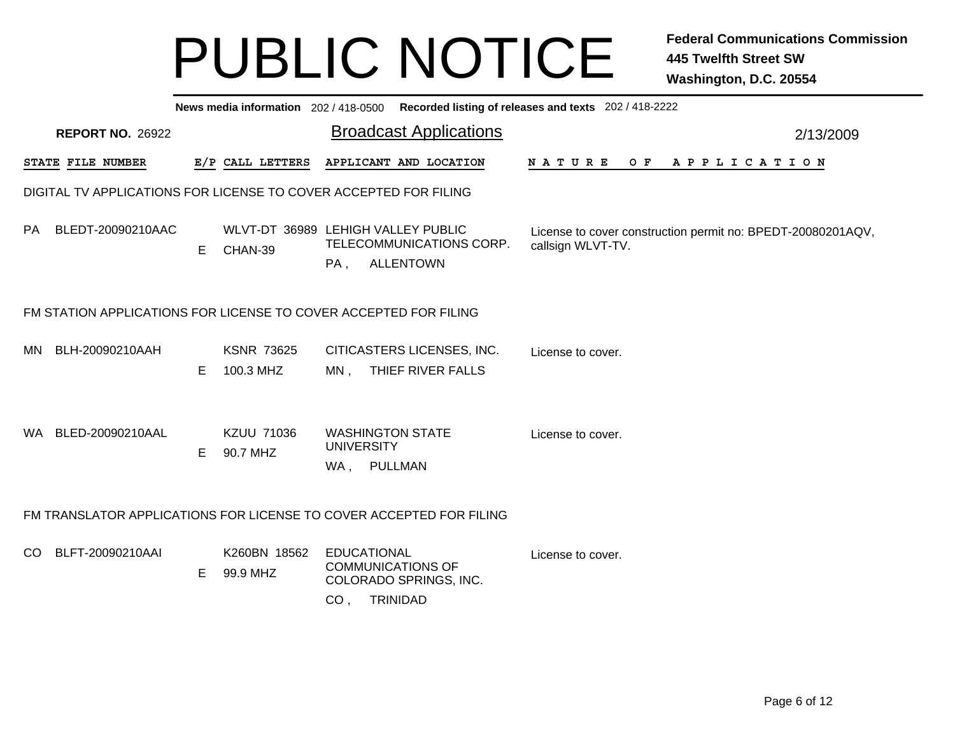|     |                         |   |                                | News media information 202/418-0500 Recorded listing of releases and texts 202/418-2222                        |                                                                                  |           |
|-----|-------------------------|---|--------------------------------|----------------------------------------------------------------------------------------------------------------|----------------------------------------------------------------------------------|-----------|
|     | <b>REPORT NO. 26922</b> |   |                                | <b>Broadcast Applications</b>                                                                                  |                                                                                  | 2/13/2009 |
|     | STATE FILE NUMBER       |   | E/P CALL LETTERS               | APPLICANT AND LOCATION                                                                                         | <b>NATURE</b><br>OF APPLICATION                                                  |           |
|     |                         |   |                                | DIGITAL TV APPLICATIONS FOR LICENSE TO COVER ACCEPTED FOR FILING                                               |                                                                                  |           |
| PA  | BLEDT-20090210AAC       | E | CHAN-39                        | WLVT-DT 36989 LEHIGH VALLEY PUBLIC<br>TELECOMMUNICATIONS CORP.<br><b>ALLENTOWN</b><br>PA,                      | License to cover construction permit no: BPEDT-20080201AQV,<br>callsign WLVT-TV. |           |
|     |                         |   |                                | FM STATION APPLICATIONS FOR LICENSE TO COVER ACCEPTED FOR FILING                                               |                                                                                  |           |
| MN  | BLH-20090210AAH         | E | <b>KSNR 73625</b><br>100.3 MHZ | CITICASTERS LICENSES, INC.<br>THIEF RIVER FALLS<br>MN.                                                         | License to cover.                                                                |           |
|     | WA BLED-20090210AAL     | E | <b>KZUU 71036</b><br>90.7 MHZ  | <b>WASHINGTON STATE</b><br><b>UNIVERSITY</b><br>WA, PULLMAN                                                    | License to cover.                                                                |           |
|     |                         |   |                                | FM TRANSLATOR APPLICATIONS FOR LICENSE TO COVER ACCEPTED FOR FILING                                            |                                                                                  |           |
| CO. | BLFT-20090210AAI        | E | K260BN 18562<br>99.9 MHZ       | <b>EDUCATIONAL</b><br><b>COMMUNICATIONS OF</b><br>COLORADO SPRINGS, INC.<br><b>TRINIDAD</b><br>CO <sub>1</sub> | License to cover.                                                                |           |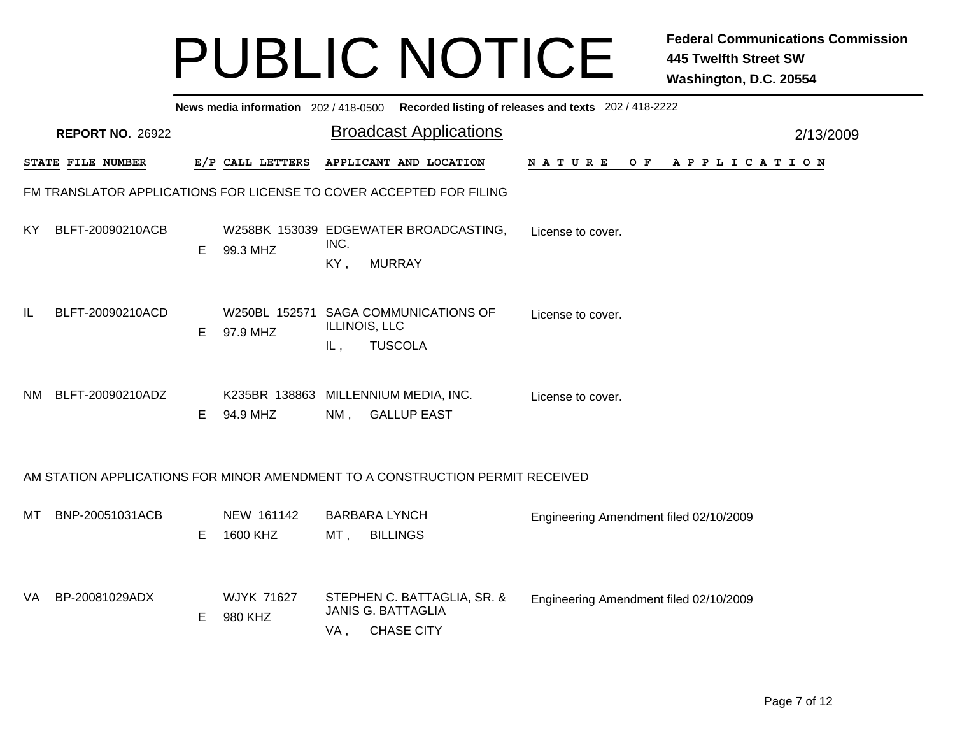|     | News media information 202 / 418-0500 Recorded listing of releases and texts 202 / 418-2222 |    |                              |             |                                                                               |                                        |           |  |  |  |  |
|-----|---------------------------------------------------------------------------------------------|----|------------------------------|-------------|-------------------------------------------------------------------------------|----------------------------------------|-----------|--|--|--|--|
|     | <b>REPORT NO. 26922</b>                                                                     |    |                              |             | <b>Broadcast Applications</b>                                                 |                                        | 2/13/2009 |  |  |  |  |
|     | STATE FILE NUMBER                                                                           |    | E/P CALL LETTERS             |             | APPLICANT AND LOCATION                                                        | N A T U R E<br>OF APPLICATION          |           |  |  |  |  |
|     |                                                                                             |    |                              |             | FM TRANSLATOR APPLICATIONS FOR LICENSE TO COVER ACCEPTED FOR FILING           |                                        |           |  |  |  |  |
| KY. | BLFT-20090210ACB                                                                            | Е  | 99.3 MHZ                     | INC.<br>KY, | W258BK 153039 EDGEWATER BROADCASTING,<br><b>MURRAY</b>                        | License to cover.                      |           |  |  |  |  |
| IL  | BLFT-20090210ACD                                                                            | Е  | 97.9 MHZ                     | IL,         | W250BL 152571 SAGA COMMUNICATIONS OF<br>ILLINOIS, LLC<br><b>TUSCOLA</b>       | License to cover.                      |           |  |  |  |  |
| NM. | BLFT-20090210ADZ                                                                            | E. | K235BR 138863<br>94.9 MHZ    | $NM$ .      | MILLENNIUM MEDIA, INC.<br><b>GALLUP EAST</b>                                  | License to cover.                      |           |  |  |  |  |
|     |                                                                                             |    |                              |             | AM STATION APPLICATIONS FOR MINOR AMENDMENT TO A CONSTRUCTION PERMIT RECEIVED |                                        |           |  |  |  |  |
| MТ  | BNP-20051031ACB                                                                             | Е  | NEW 161142<br>1600 KHZ       | MT,         | <b>BARBARA LYNCH</b><br><b>BILLINGS</b>                                       | Engineering Amendment filed 02/10/2009 |           |  |  |  |  |
| VA  | BP-20081029ADX                                                                              | Е  | <b>WJYK 71627</b><br>980 KHZ | VA,         | STEPHEN C. BATTAGLIA, SR. &<br><b>JANIS G. BATTAGLIA</b><br><b>CHASE CITY</b> | Engineering Amendment filed 02/10/2009 |           |  |  |  |  |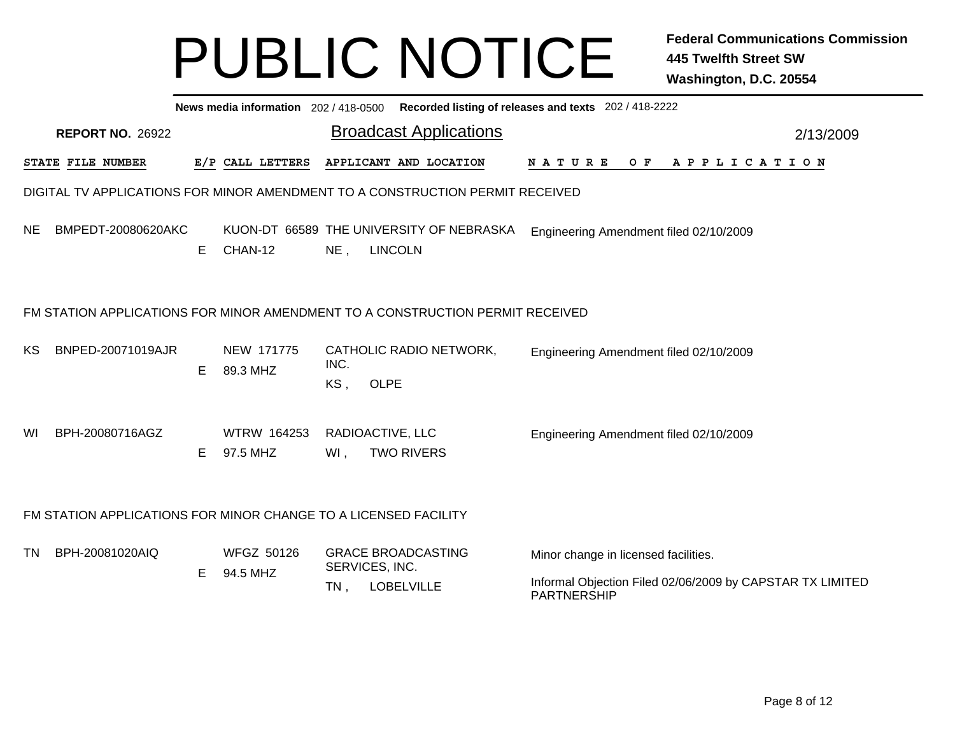|           | News media information 202 / 418-0500 Recorded listing of releases and texts 202 / 418-2222 |   |                                |                            |                                                            |                                                                                                                         |           |  |  |  |  |  |
|-----------|---------------------------------------------------------------------------------------------|---|--------------------------------|----------------------------|------------------------------------------------------------|-------------------------------------------------------------------------------------------------------------------------|-----------|--|--|--|--|--|
|           | <b>REPORT NO. 26922</b>                                                                     |   |                                |                            | <b>Broadcast Applications</b>                              |                                                                                                                         | 2/13/2009 |  |  |  |  |  |
|           | STATE FILE NUMBER                                                                           |   | E/P CALL LETTERS               |                            | APPLICANT AND LOCATION                                     | NATURE<br>$O$ F<br>APPLICATION                                                                                          |           |  |  |  |  |  |
|           | DIGITAL TV APPLICATIONS FOR MINOR AMENDMENT TO A CONSTRUCTION PERMIT RECEIVED               |   |                                |                            |                                                            |                                                                                                                         |           |  |  |  |  |  |
| NE.       | BMPEDT-20080620AKC                                                                          | Е | CHAN-12                        | $NE$ ,                     | KUON-DT 66589 THE UNIVERSITY OF NEBRASKA<br><b>LINCOLN</b> | Engineering Amendment filed 02/10/2009                                                                                  |           |  |  |  |  |  |
|           | FM STATION APPLICATIONS FOR MINOR AMENDMENT TO A CONSTRUCTION PERMIT RECEIVED               |   |                                |                            |                                                            |                                                                                                                         |           |  |  |  |  |  |
| КS        | BNPED-20071019AJR                                                                           | Е | NEW 171775<br>89.3 MHZ         | INC.<br>KS,<br><b>OLPE</b> | CATHOLIC RADIO NETWORK,                                    | Engineering Amendment filed 02/10/2009                                                                                  |           |  |  |  |  |  |
| WI.       | BPH-20080716AGZ                                                                             | E | <b>WTRW 164253</b><br>97.5 MHZ | RADIOACTIVE, LLC<br>WI,    | <b>TWO RIVERS</b>                                          | Engineering Amendment filed 02/10/2009                                                                                  |           |  |  |  |  |  |
|           | FM STATION APPLICATIONS FOR MINOR CHANGE TO A LICENSED FACILITY                             |   |                                |                            |                                                            |                                                                                                                         |           |  |  |  |  |  |
| <b>TN</b> | BPH-20081020AIQ                                                                             | E | <b>WFGZ 50126</b><br>94.5 MHZ  | SERVICES, INC.<br>TN,      | <b>GRACE BROADCASTING</b><br>LOBELVILLE                    | Minor change in licensed facilities.<br>Informal Objection Filed 02/06/2009 by CAPSTAR TX LIMITED<br><b>PARTNERSHIP</b> |           |  |  |  |  |  |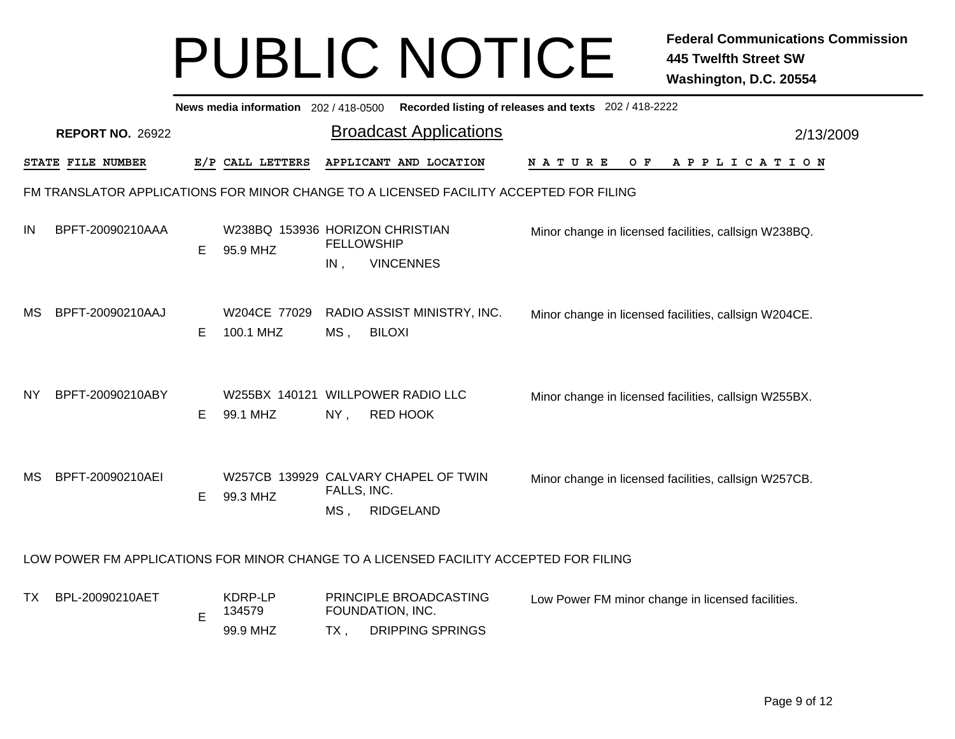|           |                         |   | News media information 202 / 418-0500         |                          | Recorded listing of releases and texts 202 / 418-2222                                  |                                                       |  |     |  |  |  |                       |           |
|-----------|-------------------------|---|-----------------------------------------------|--------------------------|----------------------------------------------------------------------------------------|-------------------------------------------------------|--|-----|--|--|--|-----------------------|-----------|
|           | <b>REPORT NO. 26922</b> |   |                                               |                          | <b>Broadcast Applications</b>                                                          |                                                       |  |     |  |  |  |                       | 2/13/2009 |
|           | STATE FILE NUMBER       |   | E/P CALL LETTERS                              |                          | APPLICANT AND LOCATION                                                                 | <b>NATURE</b>                                         |  | O F |  |  |  | A P P L I C A T I O N |           |
|           |                         |   |                                               |                          | FM TRANSLATOR APPLICATIONS FOR MINOR CHANGE TO A LICENSED FACILITY ACCEPTED FOR FILING |                                                       |  |     |  |  |  |                       |           |
| IN        | BPFT-20090210AAA        | Е | W238BQ 153936 HORIZON CHRISTIAN<br>95.9 MHZ   | <b>FELLOWSHIP</b><br>IN, | <b>VINCENNES</b>                                                                       | Minor change in licensed facilities, callsign W238BQ. |  |     |  |  |  |                       |           |
| MS        | BPFT-20090210AAJ        | Е | W204CE 77029<br>100.1 MHZ                     | MS,                      | RADIO ASSIST MINISTRY, INC.<br><b>BILOXI</b>                                           | Minor change in licensed facilities, callsign W204CE. |  |     |  |  |  |                       |           |
| <b>NY</b> | BPFT-20090210ABY        | Е | W255BX 140121 WILLPOWER RADIO LLC<br>99.1 MHZ | $NY$ ,                   | RED HOOK                                                                               | Minor change in licensed facilities, callsign W255BX. |  |     |  |  |  |                       |           |
| МS        | BPFT-20090210AEI        | Е | 99.3 MHZ                                      | FALLS, INC.<br>$MS$ ,    | W257CB 139929 CALVARY CHAPEL OF TWIN<br>RIDGELAND                                      | Minor change in licensed facilities, callsign W257CB. |  |     |  |  |  |                       |           |
|           |                         |   |                                               |                          | LOW POWER FM APPLICATIONS FOR MINOR CHANGE TO A LICENSED FACILITY ACCEPTED FOR FILING  |                                                       |  |     |  |  |  |                       |           |
| ТX        | BPL-20090210AET         | E | KDRP-LP<br>134579<br>99.9 MHZ                 | FOUNDATION, INC.<br>TX,  | PRINCIPLE BROADCASTING<br><b>DRIPPING SPRINGS</b>                                      | Low Power FM minor change in licensed facilities.     |  |     |  |  |  |                       |           |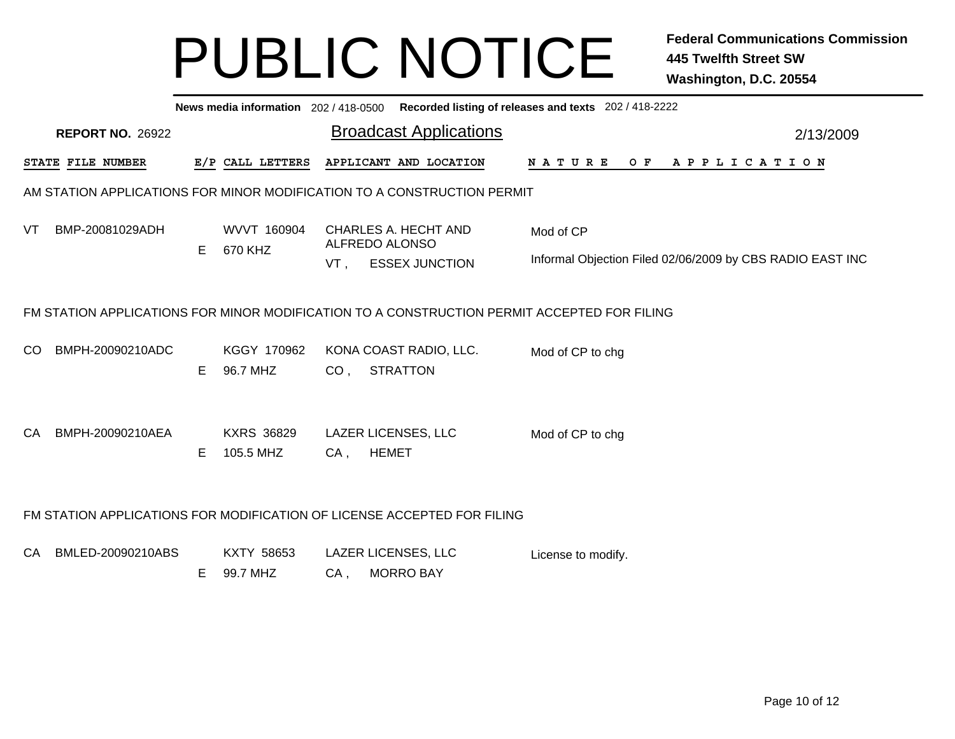| <b>REPORT NO. 26922</b> |                                                           |                                |                  |                       |                                                                                                                                                                                                                                                                                     |                                                                         |  |           |               |                                                            |                                                                                                                                                                                        |  |  |  | 2/13/2009                                                                   |
|-------------------------|-----------------------------------------------------------|--------------------------------|------------------|-----------------------|-------------------------------------------------------------------------------------------------------------------------------------------------------------------------------------------------------------------------------------------------------------------------------------|-------------------------------------------------------------------------|--|-----------|---------------|------------------------------------------------------------|----------------------------------------------------------------------------------------------------------------------------------------------------------------------------------------|--|--|--|-----------------------------------------------------------------------------|
|                         |                                                           |                                |                  |                       |                                                                                                                                                                                                                                                                                     |                                                                         |  |           |               |                                                            |                                                                                                                                                                                        |  |  |  |                                                                             |
|                         |                                                           |                                |                  |                       |                                                                                                                                                                                                                                                                                     |                                                                         |  |           |               |                                                            |                                                                                                                                                                                        |  |  |  |                                                                             |
|                         | E                                                         | WVVT 160904<br>670 KHZ         |                  | <b>ESSEX JUNCTION</b> |                                                                                                                                                                                                                                                                                     |                                                                         |  |           |               |                                                            |                                                                                                                                                                                        |  |  |  |                                                                             |
|                         |                                                           |                                |                  |                       |                                                                                                                                                                                                                                                                                     |                                                                         |  |           |               |                                                            |                                                                                                                                                                                        |  |  |  |                                                                             |
| BMPH-20090210ADC        | E                                                         | KGGY 170962<br>96.7 MHZ        | CO <sub>1</sub>  | <b>STRATTON</b>       |                                                                                                                                                                                                                                                                                     |                                                                         |  |           |               |                                                            |                                                                                                                                                                                        |  |  |  |                                                                             |
| BMPH-20090210AEA        | Е                                                         | <b>KXRS 36829</b><br>105.5 MHZ | $CA$ ,           | <b>HEMET</b>          |                                                                                                                                                                                                                                                                                     |                                                                         |  |           |               |                                                            |                                                                                                                                                                                        |  |  |  |                                                                             |
|                         |                                                           |                                |                  |                       |                                                                                                                                                                                                                                                                                     |                                                                         |  |           |               |                                                            |                                                                                                                                                                                        |  |  |  |                                                                             |
|                         | E                                                         | KXTY 58653<br>99.7 MHZ         | $CA$ ,           | <b>MORRO BAY</b>      |                                                                                                                                                                                                                                                                                     |                                                                         |  |           |               |                                                            |                                                                                                                                                                                        |  |  |  |                                                                             |
|                         | STATE FILE NUMBER<br>BMP-20081029ADH<br>BMLED-20090210ABS |                                | E/P CALL LETTERS |                       | <b>Broadcast Applications</b><br>APPLICANT AND LOCATION<br><b>CHARLES A. HECHT AND</b><br>ALFREDO ALONSO<br>$VT$ ,<br>KONA COAST RADIO, LLC.<br><b>LAZER LICENSES, LLC</b><br>FM STATION APPLICATIONS FOR MODIFICATION OF LICENSE ACCEPTED FOR FILING<br><b>LAZER LICENSES, LLC</b> | AM STATION APPLICATIONS FOR MINOR MODIFICATION TO A CONSTRUCTION PERMIT |  | Mod of CP | <b>NATURE</b> | Mod of CP to chg<br>Mod of CP to chg<br>License to modify. | News media information 202/418-0500 Recorded listing of releases and texts 202/418-2222<br>FM STATION APPLICATIONS FOR MINOR MODIFICATION TO A CONSTRUCTION PERMIT ACCEPTED FOR FILING |  |  |  | OF APPLICATION<br>Informal Objection Filed 02/06/2009 by CBS RADIO EAST INC |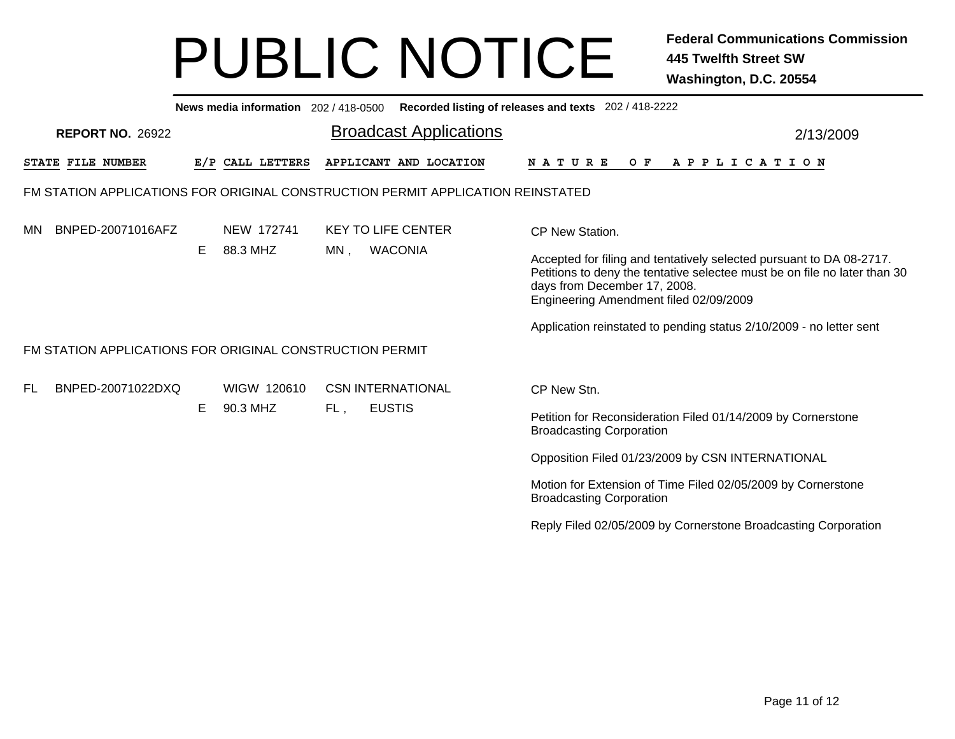|           | News media information 202/418-0500 Recorded listing of releases and texts 202/418-2222 |    |                         |     |                                                                                 |                                                                                                                                                                                                                                                                                                                                         |  |  |  |  |  |  |  |
|-----------|-----------------------------------------------------------------------------------------|----|-------------------------|-----|---------------------------------------------------------------------------------|-----------------------------------------------------------------------------------------------------------------------------------------------------------------------------------------------------------------------------------------------------------------------------------------------------------------------------------------|--|--|--|--|--|--|--|
|           | <b>REPORT NO. 26922</b>                                                                 |    |                         |     | <b>Broadcast Applications</b>                                                   | 2/13/2009                                                                                                                                                                                                                                                                                                                               |  |  |  |  |  |  |  |
|           | STATE FILE NUMBER                                                                       |    | E/P CALL LETTERS        |     | APPLICANT AND LOCATION                                                          | <b>NATURE</b><br>OF APPLICATION                                                                                                                                                                                                                                                                                                         |  |  |  |  |  |  |  |
|           |                                                                                         |    |                         |     | FM STATION APPLICATIONS FOR ORIGINAL CONSTRUCTION PERMIT APPLICATION REINSTATED |                                                                                                                                                                                                                                                                                                                                         |  |  |  |  |  |  |  |
| <b>MN</b> | BNPED-20071016AFZ                                                                       | E. | NEW 172741<br>88.3 MHZ  | MN. | <b>KEY TO LIFE CENTER</b><br><b>WACONIA</b>                                     | CP New Station.<br>Accepted for filing and tentatively selected pursuant to DA 08-2717.<br>Petitions to deny the tentative selectee must be on file no later than 30<br>days from December 17, 2008.<br>Engineering Amendment filed 02/09/2009                                                                                          |  |  |  |  |  |  |  |
|           | FM STATION APPLICATIONS FOR ORIGINAL CONSTRUCTION PERMIT                                |    |                         |     |                                                                                 | Application reinstated to pending status 2/10/2009 - no letter sent                                                                                                                                                                                                                                                                     |  |  |  |  |  |  |  |
| FL.       | BNPED-20071022DXQ                                                                       | E  | WIGW 120610<br>90.3 MHZ | FL, | <b>CSN INTERNATIONAL</b><br><b>EUSTIS</b>                                       | CP New Stn.<br>Petition for Reconsideration Filed 01/14/2009 by Cornerstone<br><b>Broadcasting Corporation</b><br>Opposition Filed 01/23/2009 by CSN INTERNATIONAL<br>Motion for Extension of Time Filed 02/05/2009 by Cornerstone<br><b>Broadcasting Corporation</b><br>Reply Filed 02/05/2009 by Cornerstone Broadcasting Corporation |  |  |  |  |  |  |  |